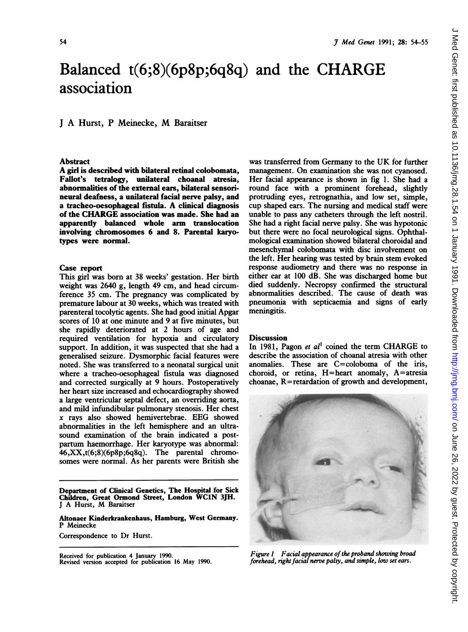# <sup>3 Med Genet 1991; 28: 54-55</sup><br>
Salanced t(6;8)(6p8p;6q8q) and the CHARGE<br>
ssociation<br>
A Hurst, P Meinecke, M Baraitser Balanced t(6;8)(6p8p;6q8q) and the CHARGE association

# <sup>J</sup> A Hurst, <sup>P</sup> Meinecke, M Baraitser

## Abstract

A girl is described with bilateral retinal colobomata, Faliot's tetralogy, unilateral choanal atresia, abnormalities of the external ears, bilateral sensorineural deafness, a unilateral facial nerve palsy, and <sup>a</sup> tracheo-oesophageal fistula. A clinical diagnosis of the CHARGE association was made. She had an apparently balanced whole arm translocation involving chromosomes 6 and 8. Parental karyotypes were normal.

### Case report

This girl was born at 38 weeks' gestation. Her birth weight was 2640 g, length 49 cm, and head circumference 35 cm. The pregnancy was complicated by premature labour at 30 weeks, which was treated with parenteral tocolytic agents. She had good initial Apgar scores of 10 at one minute and 9 at five minutes, but she rapidly deteriorated at 2 hours of age and required ventilation for hypoxia and circulatory support. In addition, it was suspected that she had a generalised seizure. Dysmorphic facial features were noted. She was transferred to a neonatal surgical unit where a tracheo-oesophageal fistula was diagnosed and corrected surgically at 9 hours. Postoperatively her heart size increased and echocardiography showed a large ventricular septal defect, an overriding aorta, and mild infundibular pulmonary stenosis. Her chest x rays also showed hemivertebrae. EEG showed abnormalities in the left hemisphere and an ultrasound examination of the brain indicated a postpartum haemorrhage. Her karyotype was abnormal: 46,XX,t(6;8)(6p8p;6q8q). The parental chromosomes were normal. As her parents were British she

Department of Clinical Genetics, The Hospital for Sick Children, Great Ormond Street, London WC1N 3JH. <sup>J</sup> A Hurst, M Baraitser

Altonaer Kinderkrankenhaus, Hamburg, West Germany. P Meinecke

Correspondence to Dr Hurst.

Received for publication 4 January 1990. Revised version accepted for publication 16 May 1990.

was transferred from Germany to the UK for further management. On examination she was not cyanosed. Her facial appearance is shown in fig 1. She had a round face with a prominent forehead, slightly protruding eyes, retrognathia, and low set, simple, cup shaped ears. The nursing and medical staff were unable to pass any catheters through the left nostril. She had a right facial nerve palsy. She was hypotonic but there were no focal neurological signs. Ophthalmological examination showed bilateral choroidal and mesenchymal colobomata with disc involvement on the left. Her hearing was tested by brain stem evoked response audiometry and there was no response in either ear at 100 dB. She was discharged home but died suddenly. Necropsy confirmed the structural abnormalities described. The cause of death was pneumonia with septicaemia and signs of early meningitis.

### **Discussion**

In 1981, Pagon et  $al<sup>1</sup>$  coined the term CHARGE to describe the association of choanal atresia with other anomalies. These are C=coloboma of the iris, choroid, or retina, H=heart anomaly, A=atresia choanae, R=retardation of growth and development,



Figure 1 Facial appearance of the proband showing broad forehead, right facial nerve palsy, and simple, low set ears.